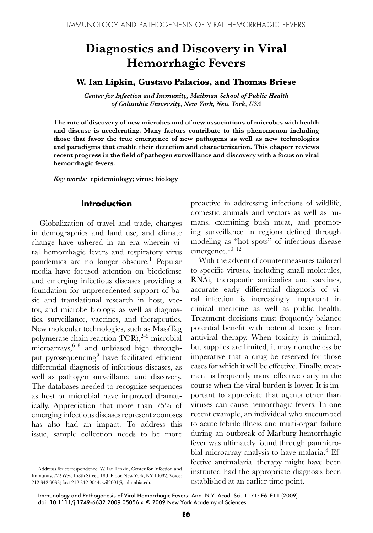# **Diagnostics and Discovery in Viral Hemorrhagic Fevers**

**W. Ian Lipkin, Gustavo Palacios, and Thomas Briese**

*Center for Infection and Immunity, Mailman School of Public Health of Columbia University, New York, New York, USA*

**The rate of discovery of new microbes and of new associations of microbes with health and disease is accelerating. Many factors contribute to this phenomenon including those that favor the true emergence of new pathogens as well as new technologies and paradigms that enable their detection and characterization. This chapter reviews recent progress in the field of pathogen surveillance and discovery with a focus on viral hemorrhagic fevers.**

*Key words:* **epidemiology; virus; biology**

#### **Introduction**

Globalization of travel and trade, changes in demographics and land use, and climate change have ushered in an era wherein viral hemorrhagic fevers and respiratory virus pandemics are no longer obscure.<sup>1</sup> Popular media have focused attention on biodefense and emerging infectious diseases providing a foundation for unprecedented support of basic and translational research in host, vector, and microbe biology, as well as diagnostics, surveillance, vaccines, and therapeutics. New molecular technologies, such as MassTag polymerase chain reaction  $(PCR),^{2-5}$  microbial microarrays,  $6-8$  and unbiased high throughput pyrosequencing<sup>9</sup> have facilitated efficient differential diagnosis of infectious diseases, as well as pathogen surveillance and discovery. The databases needed to recognize sequences as host or microbial have improved dramatically. Appreciation that more than 75% of emerging infectious diseases represent zoonoses has also had an impact. To address this issue, sample collection needs to be more

Addresss for correspondence: W. Ian Lipkin, Center for Infection and Immunity, 722 West 168th Street, 18th Floor, New York, NY 10032. Voice: 212 342 9033; fax: 212 342 9044. wil2001@columbia.edu

proactive in addressing infections of wildlife, domestic animals and vectors as well as humans, examining bush meat, and promoting surveillance in regions defined through modeling as "hot spots" of infectious disease emergence.10–12

With the advent of countermeasures tailored to specific viruses, including small molecules, RNAi, therapeutic antibodies and vaccines, accurate early differential diagnosis of viral infection is increasingly important in clinical medicine as well as public health. Treatment decisions must frequently balance potential benefit with potential toxicity from antiviral therapy. When toxicity is minimal, but supplies are limited, it may nonetheless be imperative that a drug be reserved for those cases for which it will be effective. Finally, treatment is frequently more effective early in the course when the viral burden is lower. It is important to appreciate that agents other than viruses can cause hemorrhagic fevers. In one recent example, an individual who succumbed to acute febrile illness and multi-organ failure during an outbreak of Marburg hemorrhagic fever was ultimately found through panmicrobial microarray analysis to have malaria.<sup>8</sup> Effective antimalarial therapy might have been instituted had the appropriate diagnosis been established at an earlier time point.

Immunology and Pathogenesis of Viral Hemorrhagic Fevers: Ann. N.Y. Acad. Sci. 1171: E6–E11 (2009). doi: 10.1111/j.1749-6632.2009.05056.x **-**c 2009 New York Academy of Sciences.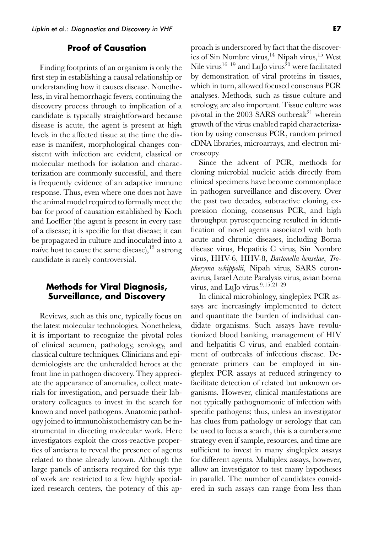#### **Proof of Causation**

Finding footprints of an organism is only the first step in establishing a causal relationship or understanding how it causes disease. Nonetheless, in viral hemorrhagic fevers, continuing the discovery process through to implication of a candidate is typically straightforward because disease is acute, the agent is present at high levels in the affected tissue at the time the disease is manifest, morphological changes consistent with infection are evident, classical or molecular methods for isolation and characterization are commonly successful, and there is frequently evidence of an adaptive immune response. Thus, even where one does not have the animal model required to formally meet the bar for proof of causation established by Koch and Loeffler (the agent is present in every case of a disease; it is specific for that disease; it can be propagated in culture and inoculated into a naïve host to cause the same disease),  $13$  a strong candidate is rarely controversial.

### **Methods for Viral Diagnosis, Surveillance, and Discovery**

Reviews, such as this one, typically focus on the latest molecular technologies. Nonetheless, it is important to recognize the pivotal roles of clinical acumen, pathology, serology, and classical culture techniques. Clinicians and epidemiologists are the unheralded heroes at the front line in pathogen discovery. They appreciate the appearance of anomalies, collect materials for investigation, and persuade their laboratory colleagues to invest in the search for known and novel pathogens. Anatomic pathology joined to immunohistochemistry can be instrumental in directing molecular work. Here investigators exploit the cross-reactive properties of antisera to reveal the presence of agents related to those already known. Although the large panels of antisera required for this type of work are restricted to a few highly specialized research centers, the potency of this ap-

proach is underscored by fact that the discoveries of Sin Nombre virus,<sup>14</sup> Nipah virus,<sup>15</sup> West Nile virus<sup>16–19</sup> and LuJo virus<sup>20</sup> were facilitated by demonstration of viral proteins in tissues, which in turn, allowed focused consensus PCR analyses. Methods, such as tissue culture and serology, are also important. Tissue culture was pivotal in the 2003 SARS outbreak<sup>21</sup> wherein growth of the virus enabled rapid characterization by using consensus PCR, random primed cDNA libraries, microarrays, and electron microscopy.

Since the advent of PCR, methods for cloning microbial nucleic acids directly from clinical specimens have become commonplace in pathogen surveillance and discovery. Over the past two decades, subtractive cloning, expression cloning, consensus PCR, and high throughput pyrosequencing resulted in identification of novel agents associated with both acute and chronic diseases, including Borna disease virus, Hepatitis C virus, Sin Nombre virus, HHV-6, HHV-8, *Bartonella henselae*, *Tropheryma whippelii,* Nipah virus, SARS coronavirus, Israel Acute Paralysis virus, avian borna virus, and LuJo virus.9*,*15*,*21–29

In clinical microbiology, singleplex PCR assays are increasingly implemented to detect and quantitate the burden of individual candidate organisms. Such assays have revolutionized blood banking, management of HIV and helpatitis C virus, and enabled containment of outbreaks of infectious disease. Degenerate primers can be employed in singleplex PCR assays at reduced stringency to facilitate detection of related but unknown organisms. However, clinical manifestations are not typically pathognomonic of infection with specific pathogens; thus, unless an investigator has clues from pathology or serology that can be used to focus a search, this is a cumbersome strategy even if sample, resources, and time are sufficient to invest in many singleplex assays for different agents. Multiplex assays, however, allow an investigator to test many hypotheses in parallel. The number of candidates considered in such assays can range from less than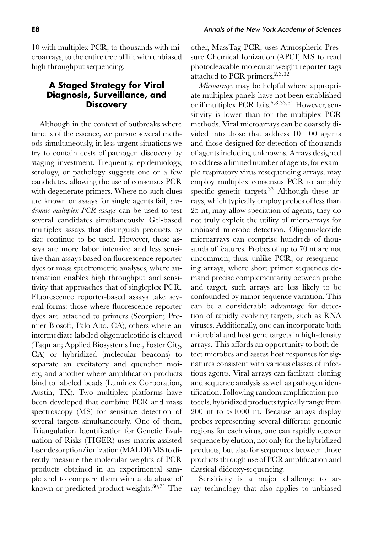10 with multiplex PCR, to thousands with microarrays, to the entire tree of life with unbiased high throughput sequencing.

## **A Staged Strategy for Viral Diagnosis, Surveillance, and Discovery**

Although in the context of outbreaks where time is of the essence, we pursue several methods simultaneously, in less urgent situations we try to contain costs of pathogen discovery by staging investment. Frequently, epidemiology, serology, or pathology suggests one or a few candidates, allowing the use of consensus PCR with degenerate primers. Where no such clues are known or assays for single agents fail, *syndromic multiplex PCR assays* can be used to test several candidates simultaneously. Gel-based multiplex assays that distinguish products by size continue to be used. However, these assays are more labor intensive and less sensitive than assays based on fluorescence reporter dyes or mass spectrometric analyses, where automation enables high throughput and sensitivity that approaches that of singleplex PCR. Fluorescence reporter-based assays take several forms: those where fluorescence reporter dyes are attached to primers (Scorpion; Premier Biosoft, Palo Alto, CA), others where an intermediate labeled oligonucleotide is cleaved (Taqman; Applied Biosystems Inc., Foster City, CA) or hybridized (molecular beacons) to separate an excitatory and quencher moiety, and another where amplification products bind to labeled beads (Luminex Corporation, Austin, TX). Two multiplex platforms have been developed that combine PCR and mass spectroscopy (MS) for sensitive detection of several targets simultaneously. One of them, Triangulation Identification for Genetic Evaluation of Risks (TIGER) uses matrix-assisted laser desorption/ionization (MALDI) MS to directly measure the molecular weights of PCR products obtained in an experimental sample and to compare them with a database of known or predicted product weights.<sup>30</sup>*,*<sup>31</sup> The

other, MassTag PCR, uses Atmospheric Pressure Chemical Ionization (APCI) MS to read photocleavable molecular weight reporter tags attached to PCR primers.2*,*3*,*<sup>32</sup>

*Microarrays* may be helpful where appropriate multiplex panels have not been established or if multiplex PCR fails.6*,*8*,*33*,*<sup>34</sup> However, sensitivity is lower than for the multiplex PCR methods. Viral microarrays can be coarsely divided into those that address 10–100 agents and those designed for detection of thousands of agents including unknowns. Arrays designed to address a limited number of agents, for example respiratory virus resequencing arrays, may employ multiplex consensus PCR to amplify specific genetic targets.<sup>33</sup> Although these arrays, which typically employ probes of less than 25 nt, may allow speciation of agents, they do not truly exploit the utility of microarrays for unbiased microbe detection. Oligonucleotide microarrays can comprise hundreds of thousands of features. Probes of up to 70 nt are not uncommon; thus, unlike PCR, or resequencing arrays, where short primer sequences demand precise complementarity between probe and target, such arrays are less likely to be confounded by minor sequence variation. This can be a considerable advantage for detection of rapidly evolving targets, such as RNA viruses. Additionally, one can incorporate both microbial and host gene targets in high-density arrays. This affords an opportunity to both detect microbes and assess host responses for signatures consistent with various classes of infectious agents. Viral arrays can facilitate cloning and sequence analysis as well as pathogen identification. Following random amplification protocols, hybridized products typically range from 200 nt to *>*1000 nt. Because arrays display probes representing several different genomic regions for each virus, one can rapidly recover sequence by elution, not only for the hybridized products, but also for sequences between those products through use of PCR amplification and classical dideoxy-sequencing.

Sensitivity is a major challenge to array technology that also applies to unbiased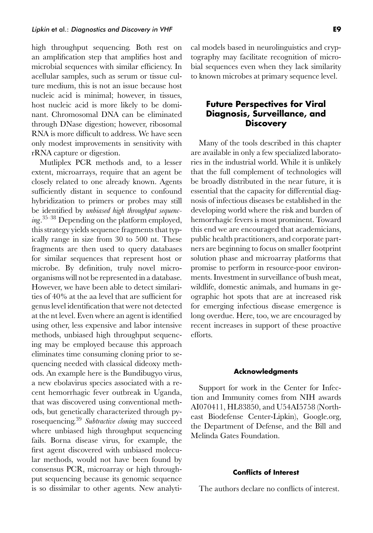high throughput sequencing. Both rest on an amplification step that amplifies host and microbial sequences with similar efficiency. In acellular samples, such as serum or tissue culture medium, this is not an issue because host nucleic acid is minimal; however, in tissues, host nucleic acid is more likely to be dominant. Chromosomal DNA can be eliminated through DNase digestion; however, ribosomal RNA is more difficult to address. We have seen only modest improvements in sensitivity with rRNA capture or digestion.

Mutliplex PCR methods and, to a lesser extent, microarrays, require that an agent be closely related to one already known. Agents sufficiently distant in sequence to confound hybridization to primers or probes may still be identified by *unbiased high throughput sequencing*. 35–38 Depending on the platform employed, this strategy yields sequence fragments that typically range in size from 30 to 500 nt. These fragments are then used to query databases for similar sequences that represent host or microbe. By definition, truly novel microorganisms will not be represented in a database. However, we have been able to detect similarities of 40% at the aa level that are sufficient for genus level identification that were not detected at the nt level. Even where an agent is identified using other, less expensive and labor intensive methods, unbiased high throughput sequencing may be employed because this approach eliminates time consuming cloning prior to sequencing needed with classical dideoxy methods. An example here is the Bundibugyo virus, a new ebolavirus species associated with a recent hemorrhagic fever outbreak in Uganda, that was discovered using conventional methods, but genetically characterized through pyrosequencing.39 *Subtractive cloning* may succeed where unbiased high throughput sequencing fails. Borna disease virus, for example, the first agent discovered with unbiased molecular methods, would not have been found by consensus PCR, microarray or high throughput sequencing because its genomic sequence is so dissimilar to other agents. New analytical models based in neurolinguistics and cryptography may facilitate recognition of microbial sequences even when they lack similarity to known microbes at primary sequence level.

## **Future Perspectives for Viral Diagnosis, Surveillance, and Discovery**

Many of the tools described in this chapter are available in only a few specialized laboratories in the industrial world. While it is unlikely that the full complement of technologies will be broadly distributed in the near future, it is essential that the capacity for differential diagnosis of infectious diseases be established in the developing world where the risk and burden of hemorrhagic fevers is most prominent. Toward this end we are encouraged that academicians, public health practitioners, and corporate partners are beginning to focus on smaller footprint solution phase and microarray platforms that promise to perform in resource-poor environments. Investment in surveillance of bush meat, wildlife, domestic animals, and humans in geographic hot spots that are at increased risk for emerging infectious disease emergence is long overdue. Here, too, we are encouraged by recent increases in support of these proactive efforts.

#### **Acknowledgments**

Support for work in the Center for Infection and Immunity comes from NIH awards AI070411, HL83850, and U54AI5758 (Northeast Biodefense Center-Lipkin), Google.org, the Department of Defense, and the Bill and Melinda Gates Foundation.

#### **Conflicts of Interest**

The authors declare no conflicts of interest.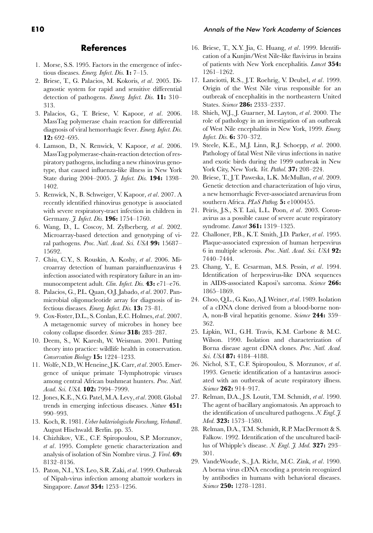#### **E10** Annals of the New York Academy of Sciences

## **References**

- 1. Morse, S.S. 1995. Factors in the emergence of infectious diseases. *Emerg. Infect. Dis.* **1:** 7–15.
- 2. Briese, T., G. Palacios, M. Kokoris, *et al*. 2005. Diagnostic system for rapid and sensitive differential detection of pathogens. *Emerg. Infect. Dis.* **11:** 310– 313.
- 3. Palacios, G., T. Briese, V. Kapoor, *et al*. 2006. MassTag polymerase chain reaction for differential diagnosis of viral hemorrhagic fever. *Emerg. Infect. Dis.* **12:** 692–695.
- 4. Lamson, D., N. Renwick, V. Kapoor, *et al*. 2006. MassTag polymerase-chain-reaction detection of respiratory pathogens, including a new rhinovirus genotype, that caused influenza-like illness in New York State during 2004–2005. *J. Infect. Dis.* **194:** 1398– 1402.
- 5. Renwick, N., B. Schweiger, V. Kapoor, *et al*. 2007. A recently identified rhinovirus genotype is associated with severe respiratory-tract infection in children in Germany. *J. Infect. Dis.* **196:** 1754–1760.
- 6. Wang, D., L. Coscoy, M. Zylberberg, *et al*. 2002. Microarray-based detection and genotyping of viral pathogens. *Proc. Natl. Acad. Sci. USA* **99:** 15687– 15692.
- 7. Chiu, C.Y., S. Rouskin, A. Koshy, *et al*. 2006. Microarray detection of human parainfluenzavirus 4 infection associated with respiratory failure in an immunocompetent adult. *Clin. Infect. Dis.* **43:** e71–e76.
- 8. Palacios, G., P.L. Quan, O.J. Jabado, *et al*. 2007. Panmicrobial oligonucleotide array for diagnosis of infectious diseases. *Emerg. Infect. Dis.* **13:** 73–81.
- 9. Cox-Foster, D.L., S. Conlan, E.C. Holmes, *et al*. 2007. A metagenomic survey of microbes in honey bee colony collapse disorder. *Science* **318:** 283–287.
- 10. Deem, S., W. Karesh, W. Weisman. 2001. Putting theory into practice: wildlife health in conservation. *Conservation Biology* **15:** 1224–1233.
- 11. Wolfe, N.D., W. Heneine, J.K. Carr, *et al*. 2005. Emergence of unique primate T-lymphotropic viruses among central African bushmeat hunters. *Proc. Natl. Acad. Sci. USA.* **102:** 7994–7999.
- 12. Jones, K.E., N.G. Patel, M.A. Levy, *et al*. 2008. Global trends in emerging infectious diseases. *Nature* **451:** 990–993.
- 13. Koch, R. 1981. *Ueber bakteriologische Forschung, Verhandl*. August Hischwald. Berlin. pp. 35.
- 14. Chizhikov, V.E., C.F. Spiropoulou, S.P. Morzunov, *et al*. 1995. Complete genetic characterization and analysis of isolation of Sin Nombre virus. *J. Virol.* **69:** 8132–8136.
- 15. Paton, N.I., Y.S. Leo, S.R. Zaki, *et al*. 1999. Outbreak of Nipah-virus infection among abattoir workers in Singapore. *Lancet* **354:** 1253–1256.
- 16. Briese, T., X.Y. Jia, C. Huang, *et al*. 1999. Identification of a Kunjin/West Nile-like flavivirus in brains of patients with New York encephalitis. *Lancet* **354:** 1261–1262.
- 17. Lanciotti, R.S., J.T. Roehrig, V. Deubel, *et al*. 1999. Origin of the West Nile virus responsible for an outbreak of encephalitis in the northeastern United States. *Science* **286:** 2333–2337.
- 18. Shieh, W.J., J. Guarner, M. Layton, *et al*. 2000. The role of pathology in an investigation of an outbreak of West Nile encephalitis in New York, 1999. *Emerg. Infect. Dis.* **6:** 370–372.
- 19. Steele, K.E., M.J. Linn, R.J. Schoepp, *et al*. 2000. Pathology of fatal West Nile virus infections in native and exotic birds during the 1999 outbreak in New York City, New York. *Vet. Pathol.* **37:** 208–224.
- 20. Briese, T., J.T. Paweska, L.K. McMullan, *et al*. 2009. Genetic detection and characterization of lujo virus, a new hemorrhagic Fever-associated arenavirus from southern Africa. *PLoS Pathog.* **5:** e1000455.
- 21. Peiris, J.S., S.T. Lai, L.L. Poon, *et al*. 2003. Coronavirus as a possible cause of severe acute respiratory syndrome. *Lancet* **361:** 1319–1325.
- 22. Challoner, P.B., K.T. Smith, J.D. Parker, *et al*. 1995. Plaque-associated expression of human herpesvirus 6 in multiple sclerosis. *Proc. Natl. Acad. Sci. USA* **92:** 7440–7444.
- 23. Chang, Y., E. Cesarman, M.S. Pessin, *et al*. 1994. Identification of herpesvirus-like DNA sequences in AIDS-associated Kaposi's sarcoma. *Science* **266:** 1865–1869.
- 24. Choo, Q.L., G. Kuo, A.J. Weiner, *et al*. 1989. Isolation of a cDNA clone derived from a blood-borne non-A, non-B viral hepatitis genome. *Science* **244:** 359– 362.
- 25. Lipkin, W.I., G.H. Travis, K.M. Carbone & M.C. Wilson. 1990. Isolation and characterization of Borna disease agent cDNA clones. *Proc. Natl. Acad. Sci. USA* **87:** 4184–4188.
- 26. Nichol, S.T., C.F. Spiropoulou, S. Morzunov, *et al*. 1993. Genetic identification of a hantavirus associated with an outbreak of acute respiratory illness. *Science* **262:** 914–917.
- 27. Relman, D.A., J.S. Loutit, T.M. Schmidt, *et al*. 1990. The agent of bacillary angiomatosis. An approach to the identification of uncultured pathogens. *N. Engl. J. Med.* **323:** 1573–1580.
- 28. Relman, D.A., T.M. Schmidt, R.P. MacDermott & S. Falkow. 1992. Identification of the uncultured bacillus of Whipple's disease. *N. Engl. J. Med.* **327:** 293– 301.
- 29. VandeWoude, S., J.A. Richt, M.C. Zink, *et al*. 1990. A borna virus cDNA encoding a protein recognized by antibodies in humans with behavioral diseases. *Science* **250:** 1278–1281.